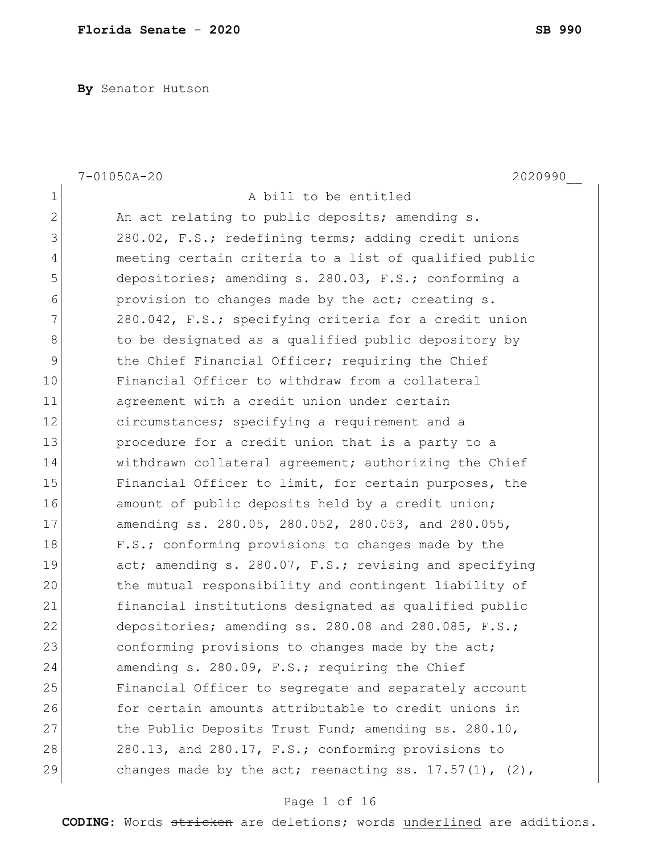**By** Senator Hutson

| $\mathbf 1$<br>A bill to be entitled<br>$\overline{2}$<br>An act relating to public deposits; amending s.<br>3<br>280.02, F.S.; redefining terms; adding credit unions<br>$\overline{4}$<br>meeting certain criteria to a list of qualified public<br>5<br>depositories; amending s. 280.03, F.S.; conforming a |  |
|-----------------------------------------------------------------------------------------------------------------------------------------------------------------------------------------------------------------------------------------------------------------------------------------------------------------|--|
|                                                                                                                                                                                                                                                                                                                 |  |
|                                                                                                                                                                                                                                                                                                                 |  |
|                                                                                                                                                                                                                                                                                                                 |  |
|                                                                                                                                                                                                                                                                                                                 |  |
|                                                                                                                                                                                                                                                                                                                 |  |
| 6<br>provision to changes made by the act; creating s.                                                                                                                                                                                                                                                          |  |
| 7<br>280.042, F.S.; specifying criteria for a credit union                                                                                                                                                                                                                                                      |  |
| 8<br>to be designated as a qualified public depository by                                                                                                                                                                                                                                                       |  |
| $\mathsf 9$<br>the Chief Financial Officer; requiring the Chief                                                                                                                                                                                                                                                 |  |
| 10<br>Financial Officer to withdraw from a collateral                                                                                                                                                                                                                                                           |  |
| 11<br>agreement with a credit union under certain                                                                                                                                                                                                                                                               |  |
| 12<br>circumstances; specifying a requirement and a                                                                                                                                                                                                                                                             |  |
| 13<br>procedure for a credit union that is a party to a                                                                                                                                                                                                                                                         |  |
| 14<br>withdrawn collateral agreement; authorizing the Chief                                                                                                                                                                                                                                                     |  |
| 15<br>Financial Officer to limit, for certain purposes, the                                                                                                                                                                                                                                                     |  |
| 16<br>amount of public deposits held by a credit union;                                                                                                                                                                                                                                                         |  |
| 17<br>amending ss. 280.05, 280.052, 280.053, and 280.055,                                                                                                                                                                                                                                                       |  |
| 18<br>F.S.; conforming provisions to changes made by the                                                                                                                                                                                                                                                        |  |
| 19<br>act; amending s. 280.07, F.S.; revising and specifying                                                                                                                                                                                                                                                    |  |
| 20<br>the mutual responsibility and contingent liability of                                                                                                                                                                                                                                                     |  |
| 21<br>financial institutions designated as qualified public                                                                                                                                                                                                                                                     |  |
| 22<br>depositories; amending ss. 280.08 and 280.085, F.S.;                                                                                                                                                                                                                                                      |  |
| 23<br>conforming provisions to changes made by the act;                                                                                                                                                                                                                                                         |  |
| 24<br>amending s. 280.09, F.S.; requiring the Chief                                                                                                                                                                                                                                                             |  |
| 25<br>Financial Officer to segregate and separately account                                                                                                                                                                                                                                                     |  |
| 26<br>for certain amounts attributable to credit unions in                                                                                                                                                                                                                                                      |  |
| 27<br>the Public Deposits Trust Fund; amending ss. 280.10,                                                                                                                                                                                                                                                      |  |
| 28<br>280.13, and 280.17, F.S.; conforming provisions to                                                                                                                                                                                                                                                        |  |
| 29<br>changes made by the act; reenacting ss. $17.57(1)$ , (2),                                                                                                                                                                                                                                                 |  |

# Page 1 of 16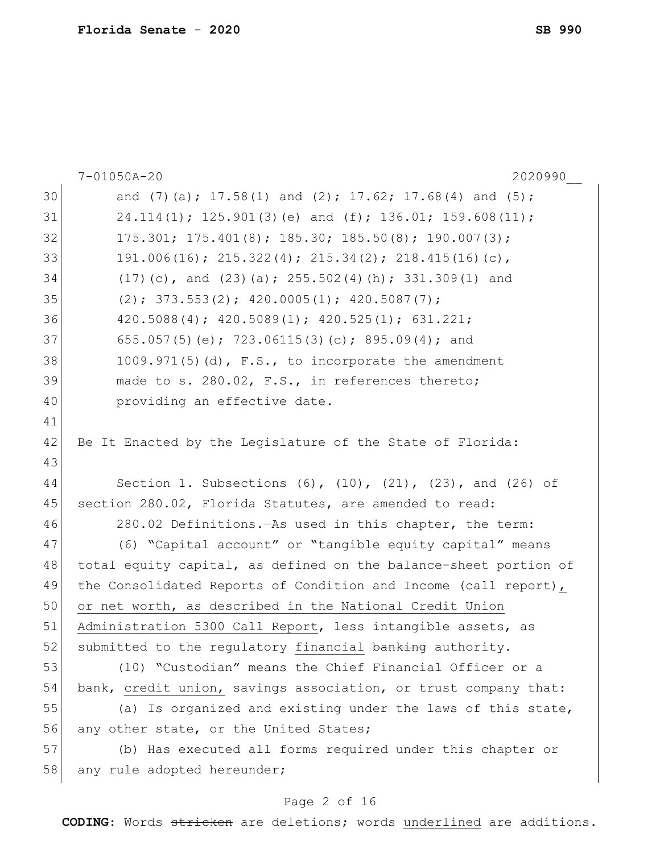|    | 7-01050A-20<br>2020990                                                  |
|----|-------------------------------------------------------------------------|
| 30 | and $(7)$ (a); 17.58(1) and $(2)$ ; 17.62; 17.68(4) and $(5)$ ;         |
| 31 | $24.114(1)$ ; 125.901(3)(e) and (f); 136.01; 159.608(11);               |
| 32 | $175.301; 175.401(8); 185.30; 185.50(8); 190.007(3);$                   |
| 33 | 191.006(16); 215.322(4); 215.34(2); 218.415(16)(c),                     |
| 34 | $(17)$ (c), and $(23)$ (a); $255.502(4)$ (h); $331.309(1)$ and          |
| 35 | $(2); 373.553(2); 420.0005(1); 420.5087(7);$                            |
| 36 | $420.5088(4)$ ; $420.5089(1)$ ; $420.525(1)$ ; 631.221;                 |
| 37 | 655.057(5)(e); 723.06115(3)(c); 895.09(4); and                          |
| 38 | $1009.971(5)$ (d), F.S., to incorporate the amendment                   |
| 39 | made to s. 280.02, F.S., in references thereto;                         |
| 40 | providing an effective date.                                            |
| 41 |                                                                         |
| 42 | Be It Enacted by the Legislature of the State of Florida:               |
| 43 |                                                                         |
| 44 | Section 1. Subsections $(6)$ , $(10)$ , $(21)$ , $(23)$ , and $(26)$ of |
| 45 | section 280.02, Florida Statutes, are amended to read:                  |
| 46 | 280.02 Definitions. - As used in this chapter, the term:                |
| 47 | (6) "Capital account" or "tangible equity capital" means                |
| 48 | total equity capital, as defined on the balance-sheet portion of        |
| 49 | the Consolidated Reports of Condition and Income (call report),         |
| 50 | or net worth, as described in the National Credit Union                 |
| 51 | Administration 5300 Call Report, less intangible assets, as             |
| 52 | submitted to the requlatory financial banking authority.                |
| 53 | (10) "Custodian" means the Chief Financial Officer or a                 |
| 54 | bank, credit union, savings association, or trust company that:         |
| 55 | (a) Is organized and existing under the laws of this state,             |
| 56 | any other state, or the United States;                                  |
| 57 | (b) Has executed all forms required under this chapter or               |
| 58 | any rule adopted hereunder;                                             |
|    |                                                                         |

# Page 2 of 16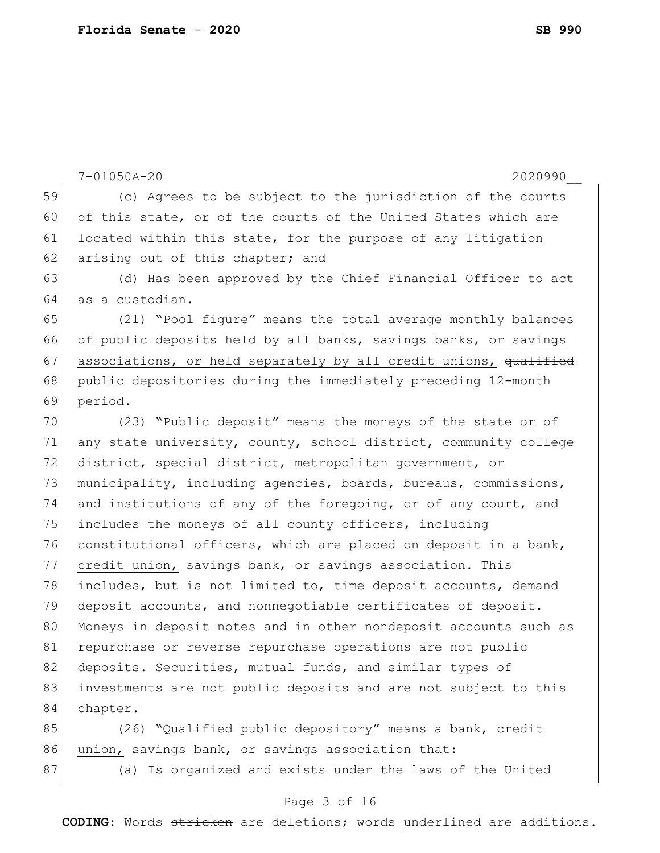|    | $7 - 01050A - 20$<br>2020990                                     |
|----|------------------------------------------------------------------|
| 59 | (c) Agrees to be subject to the jurisdiction of the courts       |
| 60 | of this state, or of the courts of the United States which are   |
| 61 | located within this state, for the purpose of any litigation     |
| 62 | arising out of this chapter; and                                 |
| 63 | (d) Has been approved by the Chief Financial Officer to act      |
| 64 | as a custodian.                                                  |
| 65 | (21) "Pool figure" means the total average monthly balances      |
| 66 | of public deposits held by all banks, savings banks, or savings  |
| 67 | associations, or held separately by all credit unions, qualified |
| 68 | public depositories during the immediately preceding 12-month    |
| 69 | period.                                                          |
| 70 | (23) "Public deposit" means the moneys of the state or of        |
| 71 | any state university, county, school district, community college |
| 72 | district, special district, metropolitan government, or          |
| 73 | municipality, including agencies, boards, bureaus, commissions,  |
| 74 | and institutions of any of the foregoing, or of any court, and   |
| 75 | includes the moneys of all county officers, including            |
| 76 | constitutional officers, which are placed on deposit in a bank,  |
| 77 | credit union, savings bank, or savings association. This         |
| 78 | includes, but is not limited to, time deposit accounts, demand   |
| 79 | deposit accounts, and nonnegotiable certificates of deposit.     |
| 80 | Moneys in deposit notes and in other nondeposit accounts such as |
| 81 | repurchase or reverse repurchase operations are not public       |
| 82 | deposits. Securities, mutual funds, and similar types of         |
| 83 | investments are not public deposits and are not subject to this  |
| 84 | chapter.                                                         |
| 85 | (26) "Qualified public depository" means a bank, credit          |
| 86 | union, savings bank, or savings association that:                |

87 (a) Is organized and exists under the laws of the United

# Page 3 of 16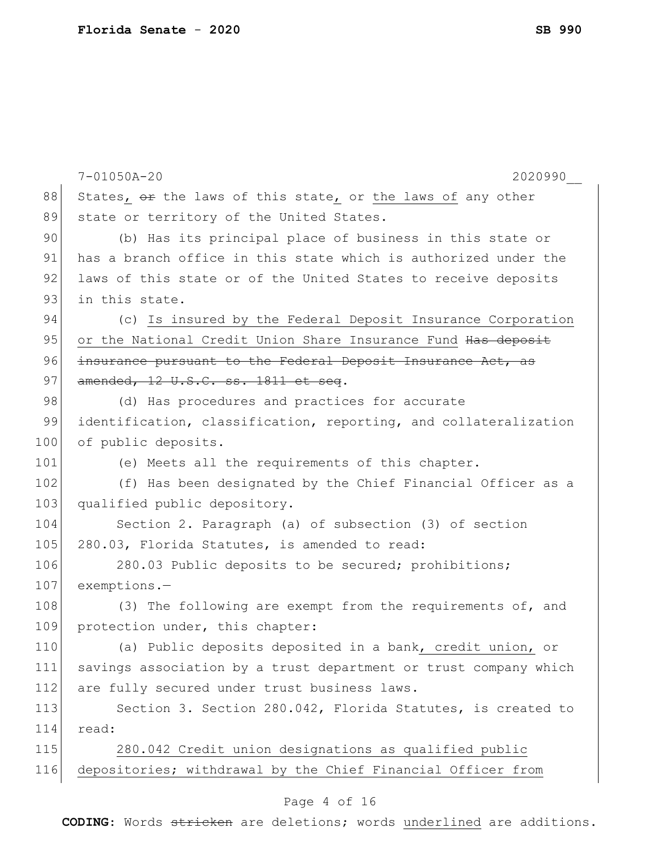|     | $7 - 01050A - 20$<br>2020990                                     |
|-----|------------------------------------------------------------------|
| 88  | States, or the laws of this state, or the laws of any other      |
| 89  | state or territory of the United States.                         |
| 90  | (b) Has its principal place of business in this state or         |
| 91  | has a branch office in this state which is authorized under the  |
| 92  | laws of this state or of the United States to receive deposits   |
| 93  | in this state.                                                   |
| 94  | (c) Is insured by the Federal Deposit Insurance Corporation      |
| 95  | or the National Credit Union Share Insurance Fund Has deposit    |
| 96  | insurance pursuant to the Federal Deposit Insurance Act, as      |
| 97  | amended, 12 U.S.C. ss. 1811 et seq.                              |
| 98  | (d) Has procedures and practices for accurate                    |
| 99  | identification, classification, reporting, and collateralization |
| 100 | of public deposits.                                              |
| 101 | (e) Meets all the requirements of this chapter.                  |
| 102 | (f) Has been designated by the Chief Financial Officer as a      |
| 103 | qualified public depository.                                     |
| 104 | Section 2. Paragraph (a) of subsection (3) of section            |
| 105 | 280.03, Florida Statutes, is amended to read:                    |
| 106 | 280.03 Public deposits to be secured; prohibitions;              |
| 107 | exemptions.-                                                     |
| 108 | (3) The following are exempt from the requirements of, and       |
| 109 | protection under, this chapter:                                  |
| 110 | (a) Public deposits deposited in a bank, credit union, or        |
| 111 | savings association by a trust department or trust company which |
| 112 | are fully secured under trust business laws.                     |
| 113 | Section 3. Section 280.042, Florida Statutes, is created to      |
| 114 | read:                                                            |
| 115 | 280.042 Credit union designations as qualified public            |
| 116 | depositories; withdrawal by the Chief Financial Officer from     |
|     |                                                                  |

# Page 4 of 16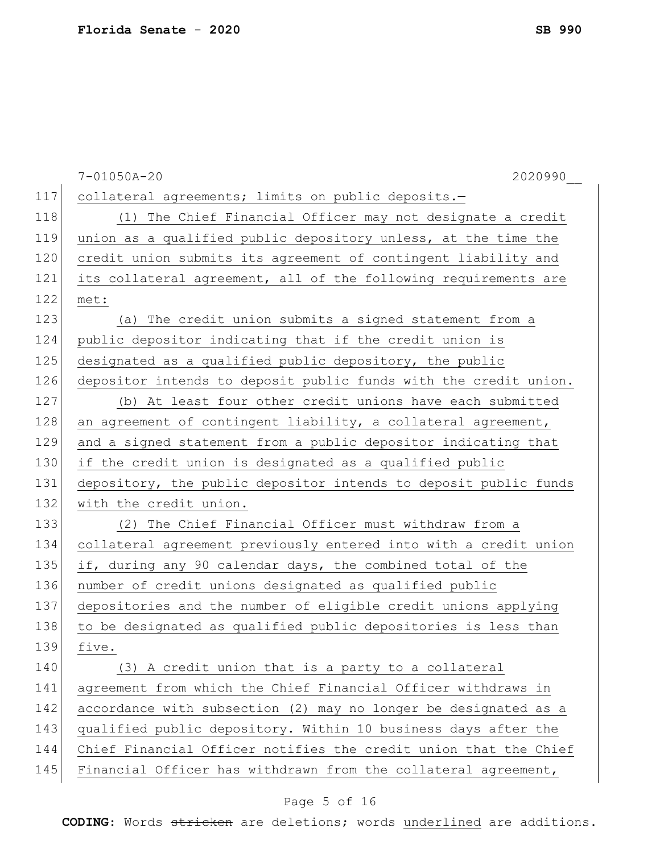|     | 2020990<br>$7 - 01050A - 20$                                     |
|-----|------------------------------------------------------------------|
| 117 | collateral agreements; limits on public deposits.-               |
| 118 | (1) The Chief Financial Officer may not designate a credit       |
| 119 | union as a qualified public depository unless, at the time the   |
| 120 | credit union submits its agreement of contingent liability and   |
| 121 | its collateral agreement, all of the following requirements are  |
| 122 | met:                                                             |
| 123 | (a) The credit union submits a signed statement from a           |
| 124 | public depositor indicating that if the credit union is          |
| 125 | designated as a qualified public depository, the public          |
| 126 | depositor intends to deposit public funds with the credit union. |
| 127 | (b) At least four other credit unions have each submitted        |
| 128 | an agreement of contingent liability, a collateral agreement,    |
| 129 | and a signed statement from a public depositor indicating that   |
| 130 | if the credit union is designated as a qualified public          |
| 131 | depository, the public depositor intends to deposit public funds |
| 132 | with the credit union.                                           |
| 133 | (2) The Chief Financial Officer must withdraw from a             |
| 134 | collateral agreement previously entered into with a credit union |
| 135 | if, during any 90 calendar days, the combined total of the       |
| 136 | number of credit unions designated as qualified public           |
| 137 | depositories and the number of eligible credit unions applying   |
| 138 | to be designated as qualified public depositories is less than   |
| 139 | five.                                                            |
| 140 | (3) A credit union that is a party to a collateral               |
| 141 | agreement from which the Chief Financial Officer withdraws in    |
| 142 | accordance with subsection (2) may no longer be designated as a  |
| 143 | qualified public depository. Within 10 business days after the   |
| 144 | Chief Financial Officer notifies the credit union that the Chief |
| 145 | Financial Officer has withdrawn from the collateral agreement,   |

# Page 5 of 16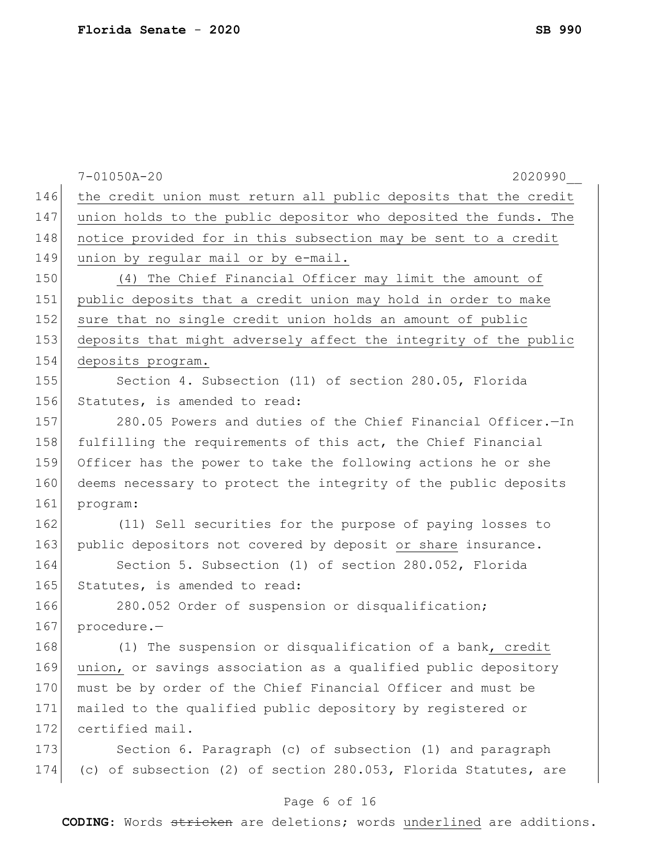|     | $7 - 01050A - 20$<br>2020990                                     |
|-----|------------------------------------------------------------------|
| 146 | the credit union must return all public deposits that the credit |
| 147 | union holds to the public depositor who deposited the funds. The |
| 148 | notice provided for in this subsection may be sent to a credit   |
| 149 | union by regular mail or by e-mail.                              |
| 150 | (4) The Chief Financial Officer may limit the amount of          |
| 151 | public deposits that a credit union may hold in order to make    |
| 152 | sure that no single credit union holds an amount of public       |
| 153 | deposits that might adversely affect the integrity of the public |
| 154 | deposits program.                                                |
| 155 | Section 4. Subsection (11) of section 280.05, Florida            |
| 156 | Statutes, is amended to read:                                    |
| 157 | 280.05 Powers and duties of the Chief Financial Officer.-In      |
| 158 | fulfilling the requirements of this act, the Chief Financial     |
| 159 | Officer has the power to take the following actions he or she    |
| 160 | deems necessary to protect the integrity of the public deposits  |
| 161 | program:                                                         |
| 162 | (11) Sell securities for the purpose of paying losses to         |
| 163 | public depositors not covered by deposit or share insurance.     |
| 164 | Section 5. Subsection (1) of section 280.052, Florida            |
| 165 | Statutes, is amended to read:                                    |
| 166 | 280.052 Order of suspension or disqualification;                 |
| 167 | procedure.-                                                      |
| 168 | (1) The suspension or disqualification of a bank, credit         |
| 169 | union, or savings association as a qualified public depository   |
| 170 | must be by order of the Chief Financial Officer and must be      |
| 171 | mailed to the qualified public depository by registered or       |
| 172 | certified mail.                                                  |
| 173 | Section 6. Paragraph (c) of subsection (1) and paragraph         |
| 174 | (c) of subsection (2) of section 280.053, Florida Statutes, are  |
|     |                                                                  |

# Page 6 of 16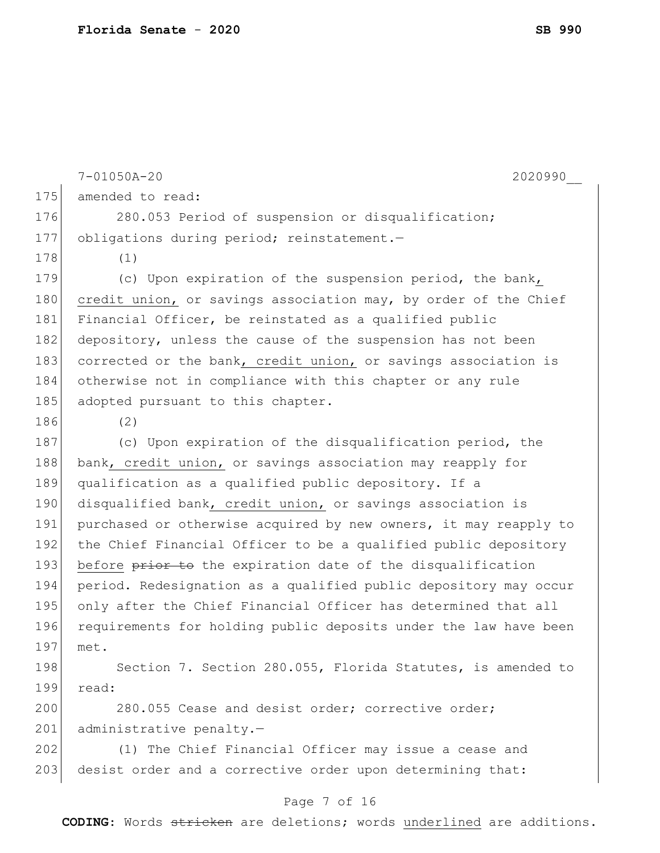|     | 2020990<br>$7 - 01050A - 20$                                     |
|-----|------------------------------------------------------------------|
| 175 | amended to read:                                                 |
| 176 | 280.053 Period of suspension or disqualification;                |
| 177 | obligations during period; reinstatement.-                       |
| 178 | (1)                                                              |
| 179 | (c) Upon expiration of the suspension period, the bank,          |
| 180 | credit union, or savings association may, by order of the Chief  |
| 181 | Financial Officer, be reinstated as a qualified public           |
| 182 | depository, unless the cause of the suspension has not been      |
| 183 | corrected or the bank, credit union, or savings association is   |
| 184 | otherwise not in compliance with this chapter or any rule        |
| 185 | adopted pursuant to this chapter.                                |
| 186 | (2)                                                              |
| 187 | (c) Upon expiration of the disqualification period, the          |
| 188 | bank, credit union, or savings association may reapply for       |
| 189 | qualification as a qualified public depository. If a             |
| 190 | disqualified bank, credit union, or savings association is       |
| 191 | purchased or otherwise acquired by new owners, it may reapply to |
| 192 | the Chief Financial Officer to be a qualified public depository  |
| 193 | before prior to the expiration date of the disqualification      |
| 194 | period. Redesignation as a qualified public depository may occur |
| 195 | only after the Chief Financial Officer has determined that all   |
| 196 | requirements for holding public deposits under the law have been |
| 197 | met.                                                             |
| 198 | Section 7. Section 280.055, Florida Statutes, is amended to      |
| 199 | read:                                                            |
| 200 | 280.055 Cease and desist order; corrective order;                |
| 201 | administrative penalty.-                                         |
| 202 | (1) The Chief Financial Officer may issue a cease and            |
| 203 | desist order and a corrective order upon determining that:       |
|     |                                                                  |

# Page 7 of 16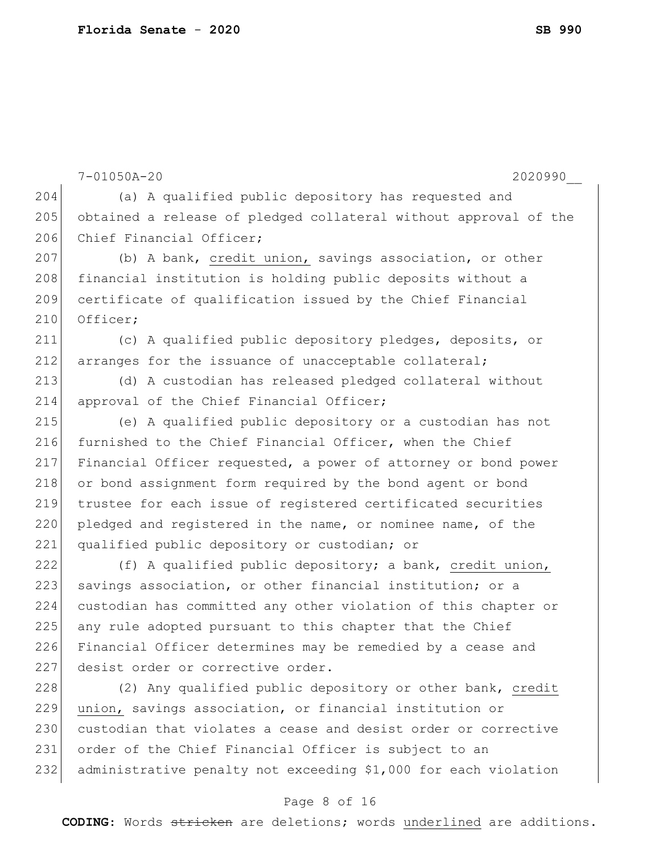```
7-01050A-20 2020990__
204 (a) A qualified public depository has requested and
205 obtained a release of pledged collateral without approval of the 
206 Chief Financial Officer;
207 (b) A bank, credit union, savings association, or other
208 financial institution is holding public deposits without a
209 certificate of qualification issued by the Chief Financial 
210 Officer;
211 (c) A qualified public depository pledges, deposits, or 
212 arranges for the issuance of unacceptable collateral;
213 (d) A custodian has released pledged collateral without 
214 approval of the Chief Financial Officer;
215 (e) A qualified public depository or a custodian has not 
216 furnished to the Chief Financial Officer, when the Chief
217 Financial Officer requested, a power of attorney or bond power 
218 or bond assignment form required by the bond agent or bond
219 trustee for each issue of registered certificated securities 
220 pledged and registered in the name, or nominee name, of the
221 qualified public depository or custodian; or
222 (f) A qualified public depository; a bank, credit union,
223 savings association, or other financial institution; or a
224 custodian has committed any other violation of this chapter or 
225 any rule adopted pursuant to this chapter that the Chief
226 Financial Officer determines may be remedied by a cease and 
227 desist order or corrective order.
228 (2) Any qualified public depository or other bank, credit
229 union, savings association, or financial institution or 
230 custodian that violates a cease and desist order or corrective
231 order of the Chief Financial Officer is subject to an 
232 administrative penalty not exceeding $1,000 for each violation
```
#### Page 8 of 16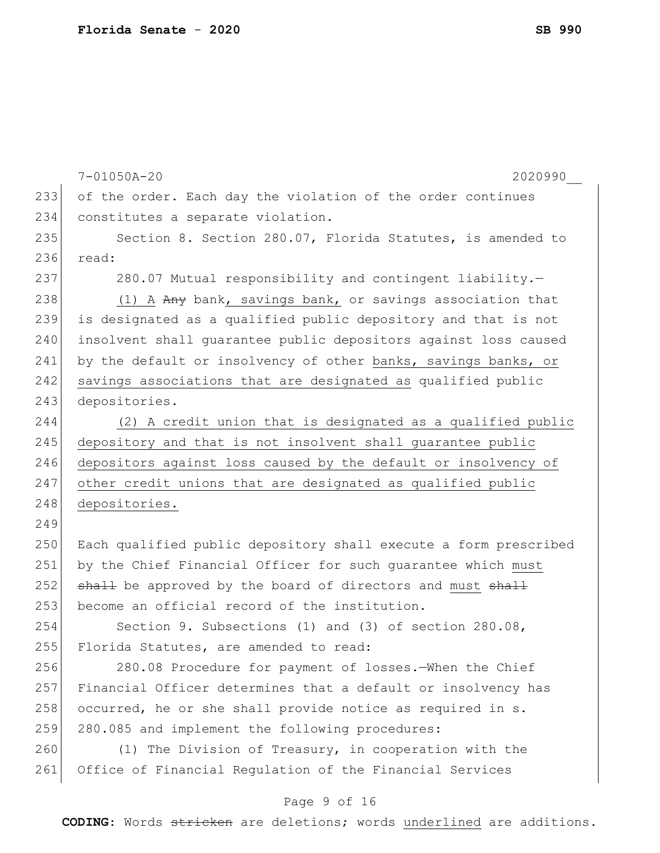|     | $7 - 01050A - 20$<br>2020990                                     |
|-----|------------------------------------------------------------------|
| 233 | of the order. Each day the violation of the order continues      |
| 234 | constitutes a separate violation.                                |
| 235 | Section 8. Section 280.07, Florida Statutes, is amended to       |
| 236 | read:                                                            |
| 237 | 280.07 Mutual responsibility and contingent liability.-          |
| 238 | (1) A Any bank, savings bank, or savings association that        |
| 239 | is designated as a qualified public depository and that is not   |
| 240 | insolvent shall guarantee public depositors against loss caused  |
| 241 | by the default or insolvency of other banks, savings banks, or   |
| 242 | savings associations that are designated as qualified public     |
| 243 | depositories.                                                    |
| 244 | (2) A credit union that is designated as a qualified public      |
| 245 | depository and that is not insolvent shall guarantee public      |
| 246 | depositors against loss caused by the default or insolvency of   |
| 247 | other credit unions that are designated as qualified public      |
| 248 | depositories.                                                    |
| 249 |                                                                  |
| 250 | Each qualified public depository shall execute a form prescribed |
| 251 | by the Chief Financial Officer for such guarantee which must     |
| 252 | shall be approved by the board of directors and must shall       |
| 253 | become an official record of the institution.                    |
| 254 | Section 9. Subsections (1) and (3) of section 280.08,            |
| 255 | Florida Statutes, are amended to read:                           |
| 256 | 280.08 Procedure for payment of losses. When the Chief           |
| 257 | Financial Officer determines that a default or insolvency has    |
| 258 | occurred, he or she shall provide notice as required in s.       |
| 259 | 280.085 and implement the following procedures:                  |
| 260 | (1) The Division of Treasury, in cooperation with the            |
| 261 | Office of Financial Regulation of the Financial Services         |
|     |                                                                  |

# Page 9 of 16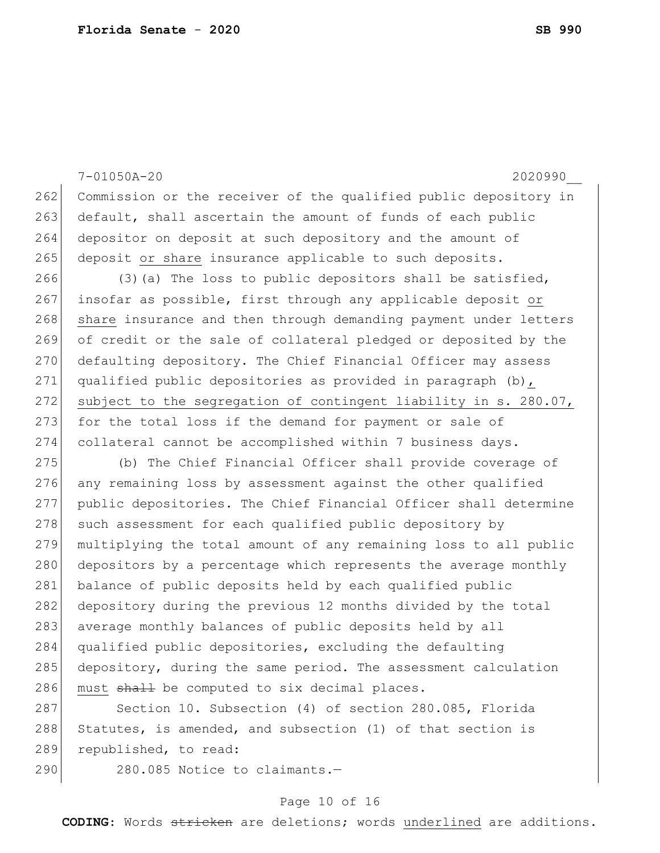7-01050A-20 2020990\_\_ 262 Commission or the receiver of the qualified public depository in 263 default, shall ascertain the amount of funds of each public 264 depositor on deposit at such depository and the amount of 265 deposit or share insurance applicable to such deposits. 266 (3)(a) The loss to public depositors shall be satisfied, 267 insofar as possible, first through any applicable deposit or 268 share insurance and then through demanding payment under letters 269 of credit or the sale of collateral pledged or deposited by the 270 defaulting depository. The Chief Financial Officer may assess 271 qualified public depositories as provided in paragraph (b), 272 subject to the segregation of contingent liability in s. 280.07, 273 for the total loss if the demand for payment or sale of 274 collateral cannot be accomplished within 7 business days. 275 (b) The Chief Financial Officer shall provide coverage of 276 any remaining loss by assessment against the other qualified 277 public depositories. The Chief Financial Officer shall determine 278 such assessment for each qualified public depository by 279 multiplying the total amount of any remaining loss to all public 280 depositors by a percentage which represents the average monthly 281 balance of public deposits held by each qualified public 282 depository during the previous 12 months divided by the total 283 average monthly balances of public deposits held by all 284 qualified public depositories, excluding the defaulting 285 depository, during the same period. The assessment calculation 286 must shall be computed to six decimal places. 287 Section 10. Subsection (4) of section 280.085, Florida 288 Statutes, is amended, and subsection (1) of that section is 289 republished, to read: 290 280.085 Notice to claimants.-

#### Page 10 of 16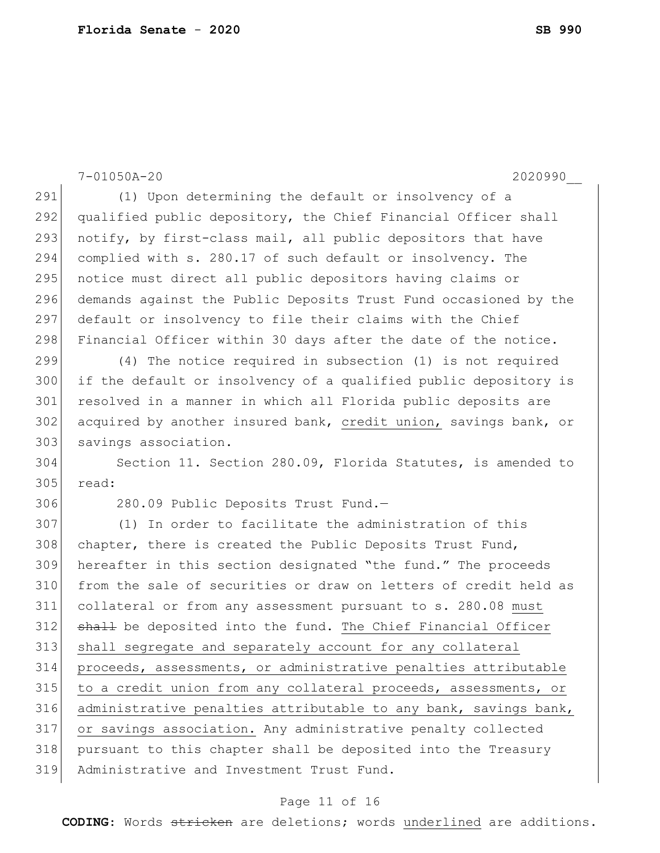|     | $7 - 01050A - 20$<br>2020990                                     |
|-----|------------------------------------------------------------------|
| 291 | (1) Upon determining the default or insolvency of a              |
| 292 | qualified public depository, the Chief Financial Officer shall   |
| 293 | notify, by first-class mail, all public depositors that have     |
| 294 | complied with s. 280.17 of such default or insolvency. The       |
| 295 | notice must direct all public depositors having claims or        |
| 296 | demands against the Public Deposits Trust Fund occasioned by the |
| 297 | default or insolvency to file their claims with the Chief        |
| 298 | Financial Officer within 30 days after the date of the notice.   |
| 299 | (4) The notice required in subsection (1) is not required        |
| 300 | if the default or insolvency of a qualified public depository is |
| 301 | resolved in a manner in which all Florida public deposits are    |
| 302 | acquired by another insured bank, credit union, savings bank, or |
| 303 | savings association.                                             |
| 304 | Section 11. Section 280.09, Florida Statutes, is amended to      |
| 305 | read:                                                            |
| 306 | 280.09 Public Deposits Trust Fund.-                              |
| 307 | (1) In order to facilitate the administration of this            |
| 308 | chapter, there is created the Public Deposits Trust Fund,        |
| 309 | hereafter in this section designated "the fund." The proceeds    |
| 310 | from the sale of securities or draw on letters of credit held as |
| 311 | collateral or from any assessment pursuant to s. 280.08 must     |
| 312 | shall be deposited into the fund. The Chief Financial Officer    |
| 313 | shall segregate and separately account for any collateral        |
| 314 | proceeds, assessments, or administrative penalties attributable  |
| 315 | to a credit union from any collateral proceeds, assessments, or  |
| 316 | administrative penalties attributable to any bank, savings bank, |
| 317 | or savings association. Any administrative penalty collected     |
| 318 | pursuant to this chapter shall be deposited into the Treasury    |
| 319 | Administrative and Investment Trust Fund.                        |
|     |                                                                  |

# Page 11 of 16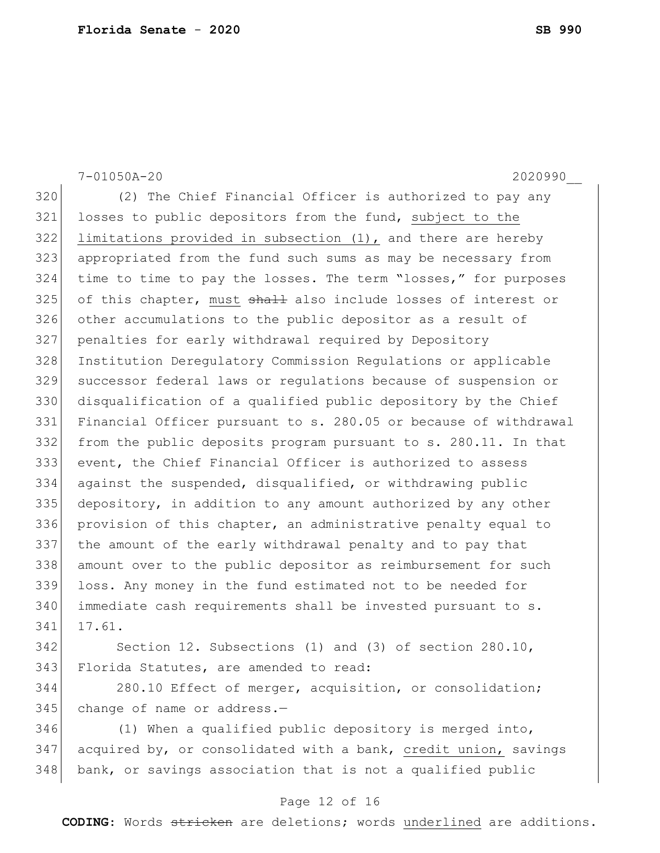7-01050A-20 2020990\_\_ 320 (2) The Chief Financial Officer is authorized to pay any losses to public depositors from the fund, subject to the limitations provided in subsection (1), and there are hereby appropriated from the fund such sums as may be necessary from time to time to pay the losses. The term "losses," for purposes of this chapter, must  $\frac{1}{2}$  also include losses of interest or other accumulations to the public depositor as a result of penalties for early withdrawal required by Depository Institution Deregulatory Commission Regulations or applicable successor federal laws or regulations because of suspension or disqualification of a qualified public depository by the Chief Financial Officer pursuant to s. 280.05 or because of withdrawal from the public deposits program pursuant to s. 280.11. In that event, the Chief Financial Officer is authorized to assess against the suspended, disqualified, or withdrawing public 335 depository, in addition to any amount authorized by any other provision of this chapter, an administrative penalty equal to the amount of the early withdrawal penalty and to pay that amount over to the public depositor as reimbursement for such loss. Any money in the fund estimated not to be needed for immediate cash requirements shall be invested pursuant to s. 17.61. Section 12. Subsections (1) and (3) of section 280.10, 343 Florida Statutes, are amended to read: 280.10 Effect of merger, acquisition, or consolidation; 345 change of name or address.-

 (1) When a qualified public depository is merged into, acquired by, or consolidated with a bank, credit union, savings 348 bank, or savings association that is not a qualified public

#### Page 12 of 16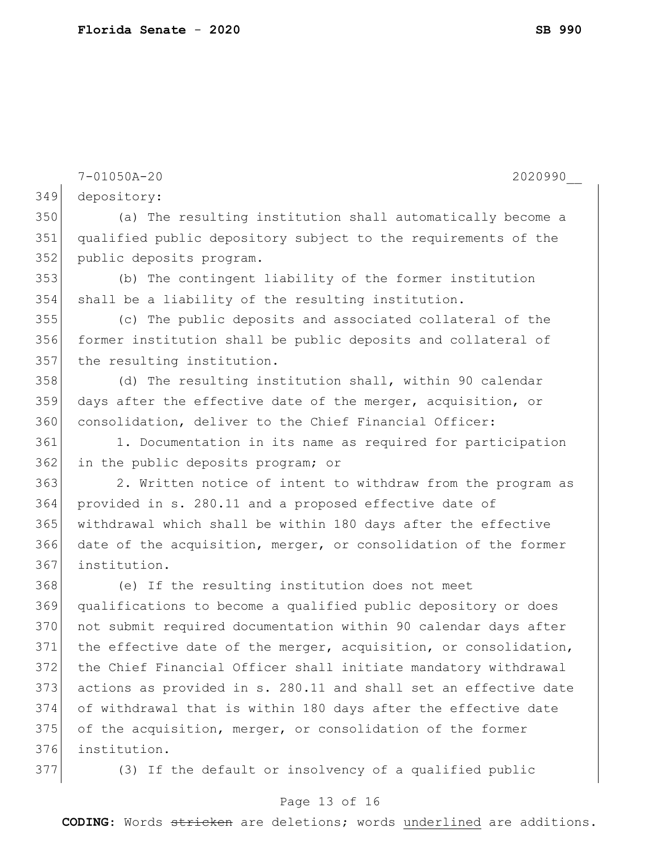|     | $7 - 01050A - 20$<br>2020990                                     |
|-----|------------------------------------------------------------------|
| 349 | depository:                                                      |
| 350 | (a) The resulting institution shall automatically become a       |
| 351 | qualified public depository subject to the requirements of the   |
| 352 | public deposits program.                                         |
| 353 | (b) The contingent liability of the former institution           |
| 354 | shall be a liability of the resulting institution.               |
| 355 | (c) The public deposits and associated collateral of the         |
| 356 | former institution shall be public deposits and collateral of    |
| 357 | the resulting institution.                                       |
| 358 | (d) The resulting institution shall, within 90 calendar          |
| 359 | days after the effective date of the merger, acquisition, or     |
| 360 | consolidation, deliver to the Chief Financial Officer:           |
| 361 | 1. Documentation in its name as required for participation       |
| 362 | in the public deposits program; or                               |
| 363 | 2. Written notice of intent to withdraw from the program as      |
| 364 | provided in s. 280.11 and a proposed effective date of           |
| 365 | withdrawal which shall be within 180 days after the effective    |
| 366 | date of the acquisition, merger, or consolidation of the former  |
| 367 | institution.                                                     |
| 368 | (e) If the resulting institution does not meet                   |
| 369 | qualifications to become a qualified public depository or does   |
| 370 | not submit required documentation within 90 calendar days after  |
| 371 | the effective date of the merger, acquisition, or consolidation, |
| 372 | the Chief Financial Officer shall initiate mandatory withdrawal  |
| 373 | actions as provided in s. 280.11 and shall set an effective date |
| 374 | of withdrawal that is within 180 days after the effective date   |
| 375 | of the acquisition, merger, or consolidation of the former       |
| 376 | institution.                                                     |
| 377 | (3) If the default or insolvency of a qualified public           |

# Page 13 of 16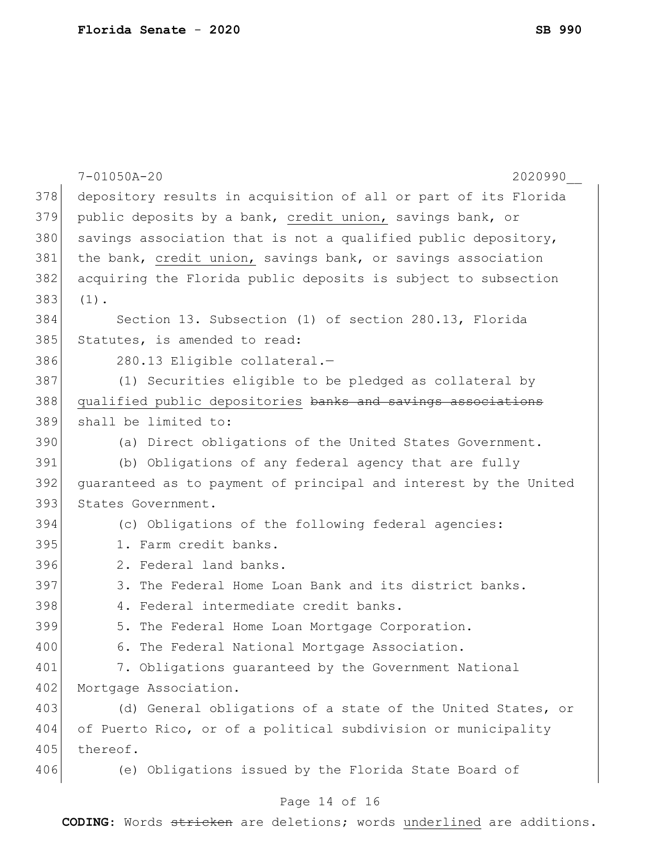|     | $7 - 01050A - 20$<br>2020990                                     |
|-----|------------------------------------------------------------------|
| 378 | depository results in acquisition of all or part of its Florida  |
| 379 | public deposits by a bank, credit union, savings bank, or        |
| 380 | savings association that is not a qualified public depository,   |
| 381 | the bank, credit union, savings bank, or savings association     |
| 382 | acquiring the Florida public deposits is subject to subsection   |
| 383 | $(1)$ .                                                          |
| 384 | Section 13. Subsection (1) of section 280.13, Florida            |
| 385 | Statutes, is amended to read:                                    |
| 386 | 280.13 Eligible collateral.-                                     |
| 387 | (1) Securities eligible to be pledged as collateral by           |
| 388 | qualified public depositories banks and savings associations     |
| 389 | shall be limited to:                                             |
| 390 | (a) Direct obligations of the United States Government.          |
| 391 | (b) Obligations of any federal agency that are fully             |
| 392 | quaranteed as to payment of principal and interest by the United |
| 393 | States Government.                                               |
| 394 | (c) Obligations of the following federal agencies:               |
| 395 | 1. Farm credit banks.                                            |
| 396 | 2. Federal land banks.                                           |
| 397 | 3. The Federal Home Loan Bank and its district banks.            |
| 398 | 4. Federal intermediate credit banks.                            |
| 399 | 5. The Federal Home Loan Mortgage Corporation.                   |
| 400 | 6. The Federal National Mortgage Association.                    |
| 401 | 7. Obligations quaranteed by the Government National             |
| 402 | Mortgage Association.                                            |
| 403 | (d) General obligations of a state of the United States, or      |
| 404 | of Puerto Rico, or of a political subdivision or municipality    |
| 405 | thereof.                                                         |
| 406 | (e) Obligations issued by the Florida State Board of             |
|     | $11 \quad \Omega$ $\Gamma$ 16                                    |

#### Page 14 of 16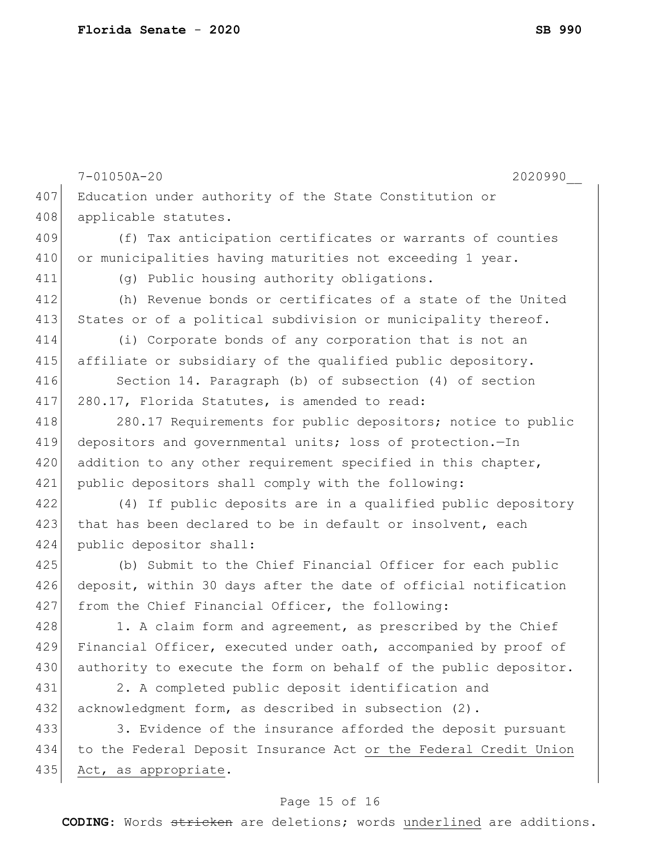|     | $7 - 01050A - 20$<br>2020990                                     |
|-----|------------------------------------------------------------------|
| 407 | Education under authority of the State Constitution or           |
| 408 | applicable statutes.                                             |
| 409 | (f) Tax anticipation certificates or warrants of counties        |
| 410 | or municipalities having maturities not exceeding 1 year.        |
| 411 | (g) Public housing authority obligations.                        |
| 412 | (h) Revenue bonds or certificates of a state of the United       |
| 413 | States or of a political subdivision or municipality thereof.    |
| 414 | (i) Corporate bonds of any corporation that is not an            |
| 415 | affiliate or subsidiary of the qualified public depository.      |
| 416 | Section 14. Paragraph (b) of subsection (4) of section           |
| 417 | 280.17, Florida Statutes, is amended to read:                    |
| 418 | 280.17 Requirements for public depositors; notice to public      |
| 419 | depositors and governmental units; loss of protection.-In        |
| 420 | addition to any other requirement specified in this chapter,     |
| 421 | public depositors shall comply with the following:               |
| 422 | (4) If public deposits are in a qualified public depository      |
| 423 | that has been declared to be in default or insolvent, each       |
| 424 | public depositor shall:                                          |
| 425 | (b) Submit to the Chief Financial Officer for each public        |
| 426 | deposit, within 30 days after the date of official notification  |
| 427 | from the Chief Financial Officer, the following:                 |
| 428 | 1. A claim form and agreement, as prescribed by the Chief        |
| 429 | Financial Officer, executed under oath, accompanied by proof of  |
| 430 | authority to execute the form on behalf of the public depositor. |
| 431 | 2. A completed public deposit identification and                 |
| 432 | acknowledgment form, as described in subsection (2).             |
| 433 | 3. Evidence of the insurance afforded the deposit pursuant       |
| 434 | to the Federal Deposit Insurance Act or the Federal Credit Union |
| 435 | Act, as appropriate.                                             |

# Page 15 of 16